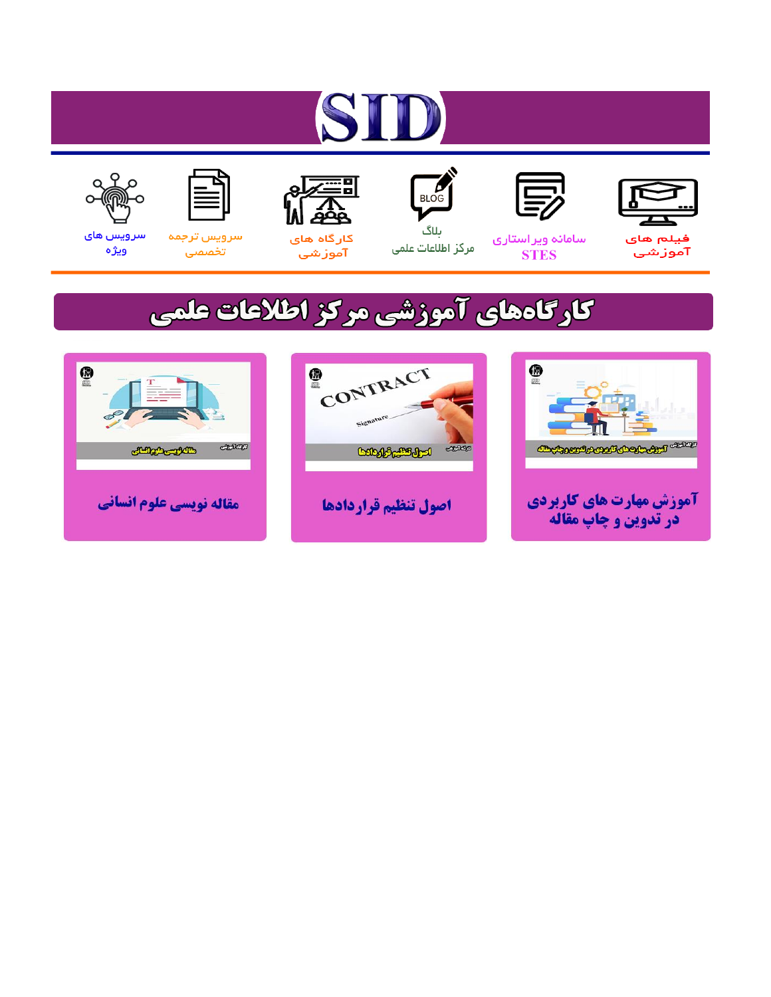# ST











ىلاگ



مرکز اطلاعات علمی

 $\frac{1}{\sqrt{\frac{1}{100}}}$ 

Cologie Legislation

کارگاه های آموزشي

空

ققق

 $\begin{matrix} \textcircled{\footnotesize{A}}\\ \textcircled{\footnotesize{B}} \end{matrix}$ 

سرويس ترجمه تخصصى



سرویس های ويژه

كارگاههای آموزشی مركز اطلاعات علمی

CONTRACT

اصول تنظيم قراردادها



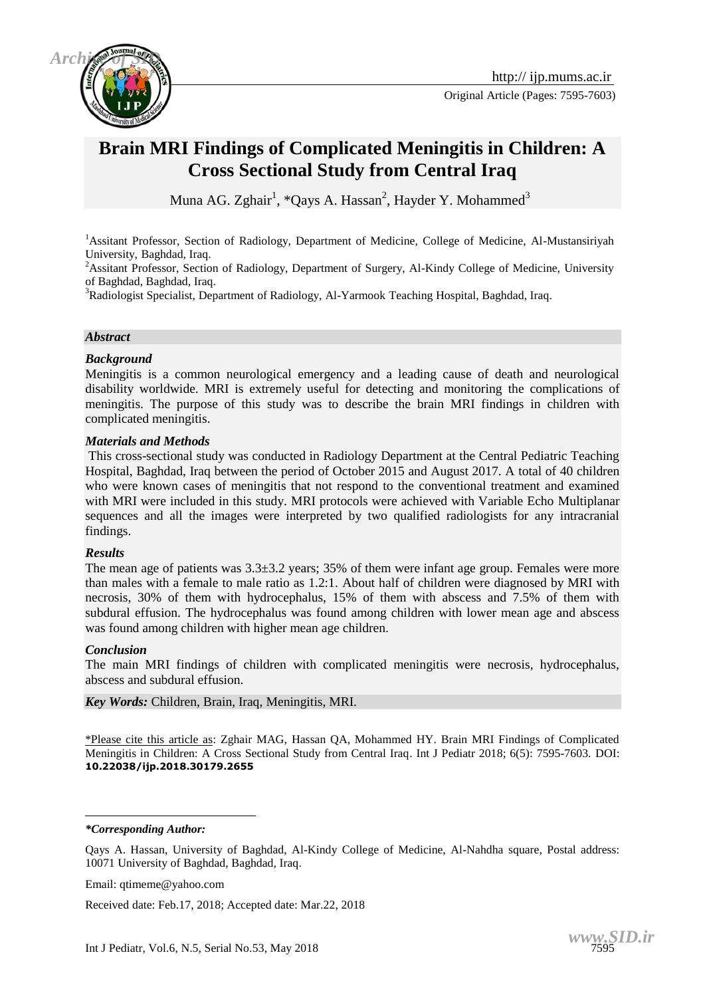

Original Article (Pages: 7595-7603)

# **Brain MRI Findings of Complicated Meningitis in Children: A Cross Sectional Study from Central Iraq**

Muna AG. Zghair<sup>1</sup>, \*Qays A. Hassan<sup>2</sup>, Hayder Y. Mohammed<sup>3</sup>

<sup>1</sup>Assitant Professor, Section of Radiology, Department of Medicine, College of Medicine, Al-Mustansiriyah University, Baghdad, Iraq.

<sup>2</sup>Assitant Professor, Section of Radiology, Department of Surgery, Al-Kindy College of Medicine, University of Baghdad, Baghdad, Iraq.

<sup>3</sup>Radiologist Specialist, Department of Radiology, Al-Yarmook Teaching Hospital, Baghdad, Iraq.

#### *Abstract*

#### *Background*

Meningitis is a common neurological emergency and a leading cause of death and neurological disability worldwide. MRI is extremely useful for detecting and monitoring the complications of meningitis. The purpose of this study was to describe the brain MRI findings in children with complicated meningitis.

#### *Materials and Methods*

This cross-sectional study was conducted in Radiology Department at the Central Pediatric Teaching Hospital, Baghdad, Iraq between the period of October 2015 and August 2017. A total of 40 children who were known cases of meningitis that not respond to the conventional treatment and examined with MRI were included in this study. MRI protocols were achieved with Variable Echo Multiplanar sequences and all the images were interpreted by two qualified radiologists for any intracranial findings.

#### *Results*

The mean age of patients was 3.3±3.2 years; 35% of them were infant age group. Females were more than males with a female to male ratio as 1.2:1. About half of children were diagnosed by MRI with necrosis, 30% of them with hydrocephalus, 15% of them with abscess and 7.5% of them with subdural effusion. The hydrocephalus was found among children with lower mean age and abscess was found among children with higher mean age children.

#### *Conclusion*

The main MRI findings of children with complicated meningitis were necrosis, hydrocephalus, abscess and subdural effusion.

*Key Words:* Children, Brain, Iraq, Meningitis, MRI.

\*Please cite this article as: Zghair MAG, Hassan QA, Mohammed HY. Brain MRI Findings of Complicated Meningitis in Children: A Cross Sectional Study from Central Iraq. Int J Pediatr 2018; 6(5): 7595-7603. DOI: **10.22038/ijp.2018.30179.2655**

*\*Corresponding Author:*

<u>.</u>

Email: qtimeme@yahoo.com

Received date: Feb.17, 2018; Accepted date: Mar.22, 2018

Qays A. Hassan, University of Baghdad, Al-Kindy College of Medicine, Al-Nahdha square, Postal address: 10071 University of Baghdad, Baghdad, Iraq.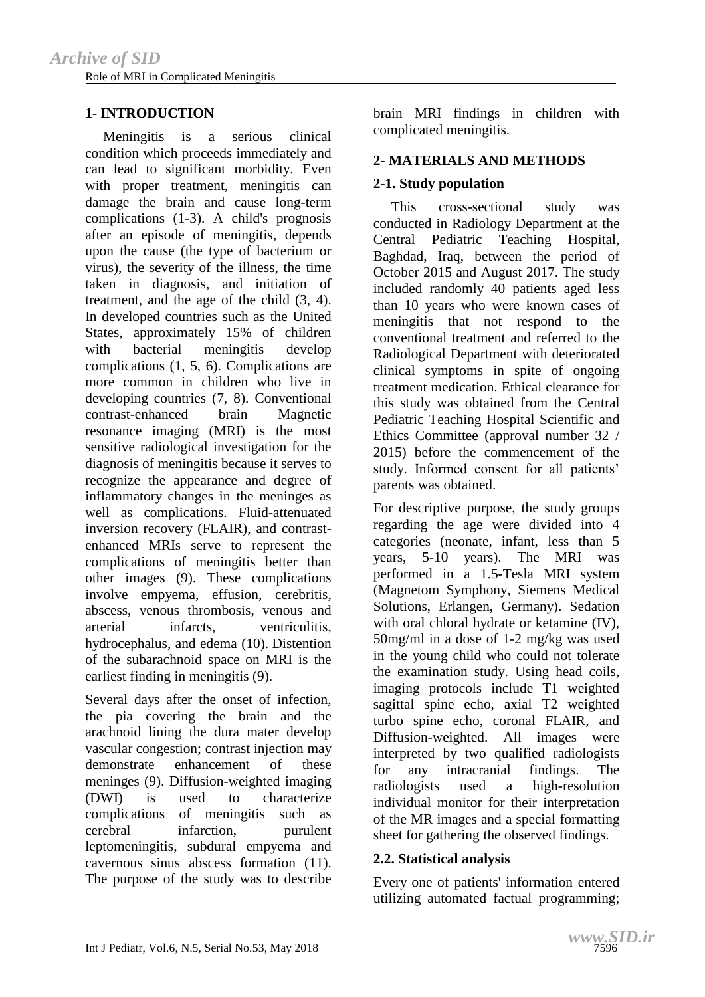# **1- INTRODUCTION**

 Meningitis is a serious clinical condition which proceeds immediately and can lead to significant morbidity. Even with proper treatment, meningitis can damage the brain and cause long-term complications (1-3). A child's prognosis after an episode of meningitis, depends upon the cause (the type of bacterium or virus), the severity of the illness, the time taken in diagnosis, and initiation of treatment, and the age of the child (3, 4). In developed countries such as the United States, approximately 15% of children with bacterial meningitis develop complications (1, 5, 6). Complications are more common in children who live in developing countries (7, 8). Conventional contrast-enhanced brain Magnetic resonance imaging (MRI) is the most sensitive radiological investigation for the diagnosis of meningitis because it serves to recognize the appearance and degree of inflammatory changes in the meninges as well as complications. Fluid-attenuated inversion recovery (FLAIR), and contrastenhanced MRIs serve to represent the complications of meningitis better than other images (9). These complications involve empyema, effusion, cerebritis, abscess, venous thrombosis, venous and arterial infarcts, ventriculitis, hydrocephalus, and edema (10). Distention of the subarachnoid space on MRI is the earliest finding in meningitis (9).

Several days after the onset of infection, the pia covering the brain and the arachnoid lining the dura mater develop vascular congestion; contrast injection may demonstrate enhancement of these meninges (9). Diffusion-weighted imaging (DWI) is used to characterize complications of meningitis such as cerebral infarction, purulent leptomeningitis, subdural empyema and cavernous sinus abscess formation (11). The purpose of the study was to describe brain MRI findings in children with complicated meningitis.

## **2- MATERIALS AND METHODS**

# **2-1. Study population**

 This cross-sectional study was conducted in Radiology Department at the Central Pediatric Teaching Hospital, Baghdad, Iraq, between the period of October 2015 and August 2017. The study included randomly 40 patients aged less than 10 years who were known cases of meningitis that not respond to the conventional treatment and referred to the Radiological Department with deteriorated clinical symptoms in spite of ongoing treatment medication. Ethical clearance for this study was obtained from the Central Pediatric Teaching Hospital Scientific and Ethics Committee (approval number 32 / 2015) before the commencement of the study. Informed consent for all patients' parents was obtained.

For descriptive purpose, the study groups regarding the age were divided into 4 categories (neonate, infant, less than 5 years, 5-10 years). The MRI was performed in a 1.5-Tesla MRI system (Magnetom Symphony, Siemens Medical Solutions, Erlangen, Germany). Sedation with oral chloral hydrate or ketamine (IV), 50mg/ml in a dose of 1-2 mg/kg was used in the young child who could not tolerate the examination study. Using head coils, imaging protocols include T1 weighted sagittal spine echo, axial T2 weighted turbo spine echo, coronal FLAIR, and Diffusion-weighted. All images were interpreted by two qualified radiologists for any intracranial findings. The radiologists used a high-resolution individual monitor for their interpretation of the MR images and a special formatting sheet for gathering the observed findings.

## **2.2. Statistical analysis**

Every one of patients' information entered utilizing automated factual programming;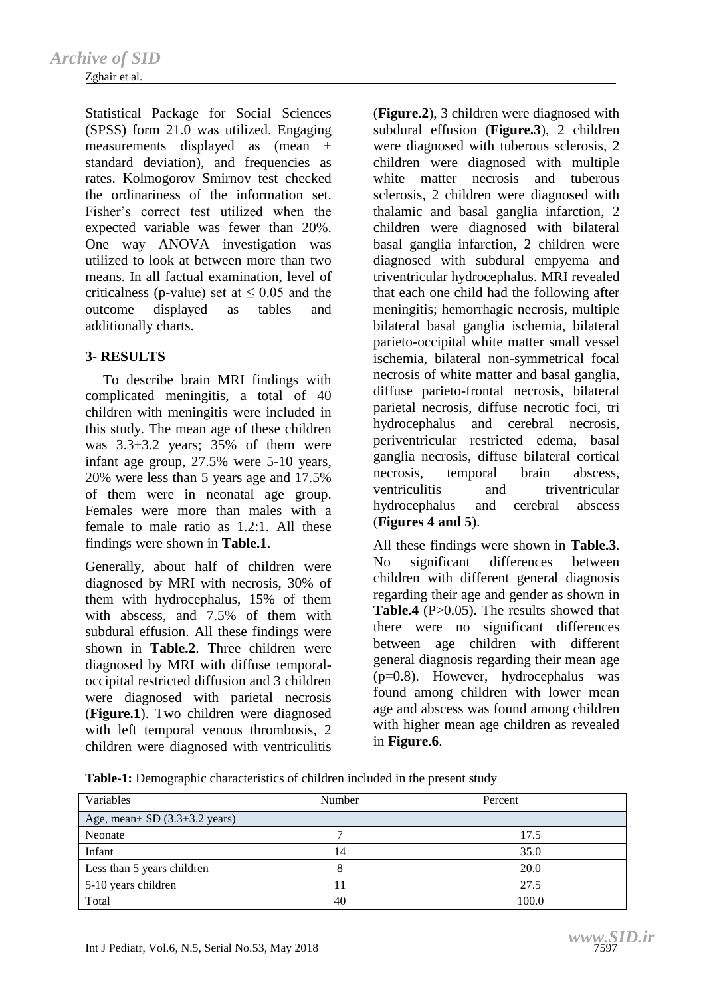#### Zghair et al.

Statistical Package for Social Sciences (SPSS) form 21.0 was utilized. Engaging measurements displayed as (mean ± standard deviation), and frequencies as rates. Kolmogorov Smirnov test checked the ordinariness of the information set. Fisher's correct test utilized when the expected variable was fewer than 20%. One way ANOVA investigation was utilized to look at between more than two means. In all factual examination, level of criticalness (p-value) set at  $\leq 0.05$  and the outcome displayed as tables and additionally charts.

## **3- RESULTS**

 To describe brain MRI findings with complicated meningitis, a total of 40 children with meningitis were included in this study. The mean age of these children was  $3.3\pm3.2$  years;  $35\%$  of them were infant age group, 27.5% were 5-10 years, 20% were less than 5 years age and 17.5% of them were in neonatal age group. Females were more than males with a female to male ratio as 1.2:1. All these findings were shown in **Table.1**.

Generally, about half of children were diagnosed by MRI with necrosis, 30% of them with hydrocephalus, 15% of them with abscess, and 7.5% of them with subdural effusion. All these findings were shown in **Table.2**. Three children were diagnosed by MRI with diffuse temporaloccipital restricted diffusion and 3 children were diagnosed with parietal necrosis (**Figure.1**). Two children were diagnosed with left temporal venous thrombosis, 2 children were diagnosed with ventriculitis

(**Figure.2**), 3 children were diagnosed with subdural effusion (**Figure.3**), 2 children were diagnosed with tuberous sclerosis, 2 children were diagnosed with multiple white matter necrosis and tuberous sclerosis, 2 children were diagnosed with thalamic and basal ganglia infarction, 2 children were diagnosed with bilateral basal ganglia infarction, 2 children were diagnosed with subdural empyema and triventricular hydrocephalus. MRI revealed that each one child had the following after meningitis; hemorrhagic necrosis, multiple bilateral basal ganglia ischemia, bilateral parieto-occipital white matter small vessel ischemia, bilateral non-symmetrical focal necrosis of white matter and basal ganglia, diffuse parieto-frontal necrosis, bilateral parietal necrosis, diffuse necrotic foci, tri hydrocephalus and cerebral necrosis, periventricular restricted edema, basal ganglia necrosis, diffuse bilateral cortical necrosis, temporal brain abscess, ventriculitis and triventricular hydrocephalus and cerebral abscess (**Figures 4 and 5**).

All these findings were shown in **Table.3**. No significant differences between children with different general diagnosis regarding their age and gender as shown in **Table.4** (P>0.05). The results showed that there were no significant differences between age children with different general diagnosis regarding their mean age (p=0.8). However, hydrocephalus was found among children with lower mean age and abscess was found among children with higher mean age children as revealed in **Figure.6**.

**Table-1:** Demographic characteristics of children included in the present study

| Variables                               | Number | Percent |  |  |  |
|-----------------------------------------|--------|---------|--|--|--|
| Age, mean $SD(3.3\pm3.2 \text{ years})$ |        |         |  |  |  |
| Neonate                                 |        | 17.5    |  |  |  |
| Infant                                  | 14     | 35.0    |  |  |  |
| Less than 5 years children              |        | 20.0    |  |  |  |
| 5-10 years children                     |        | 27.5    |  |  |  |
| Total                                   | 40     | 100.0   |  |  |  |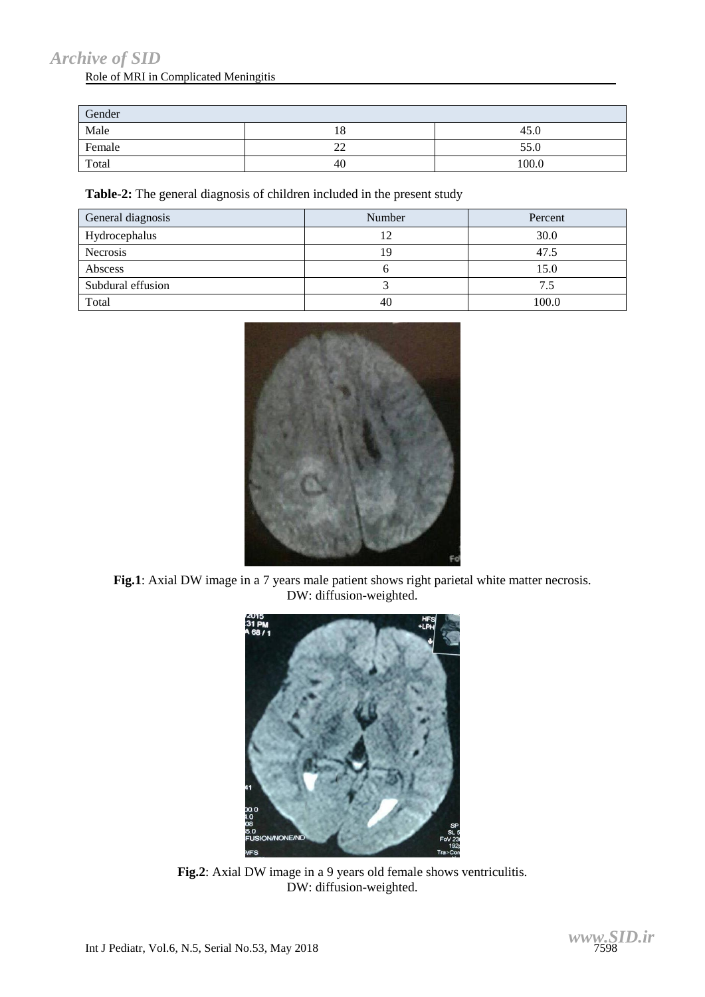# *[Archive of SID](www.sid.ir)*

# Role of MRI in Complicated Meningitis

| Gender |          |       |  |  |  |
|--------|----------|-------|--|--|--|
| Male   | 10       | 45.0  |  |  |  |
| Female | າາ<br>∠∠ | 55.0  |  |  |  |
| Total  | 40       | 100.0 |  |  |  |

**Table-2:** The general diagnosis of children included in the present study

| General diagnosis | Number | Percent |
|-------------------|--------|---------|
| Hydrocephalus     | 12     | 30.0    |
| Necrosis          | 19     | 47.5    |
| Abscess           |        | 15.0    |
| Subdural effusion |        | 7.5     |
| Total             | 40     | 100.0   |



**Fig.1**: Axial DW image in a 7 years male patient shows right parietal white matter necrosis. DW: diffusion-weighted.



**Fig.2**: Axial DW image in a 9 years old female shows ventriculitis. DW: diffusion-weighted.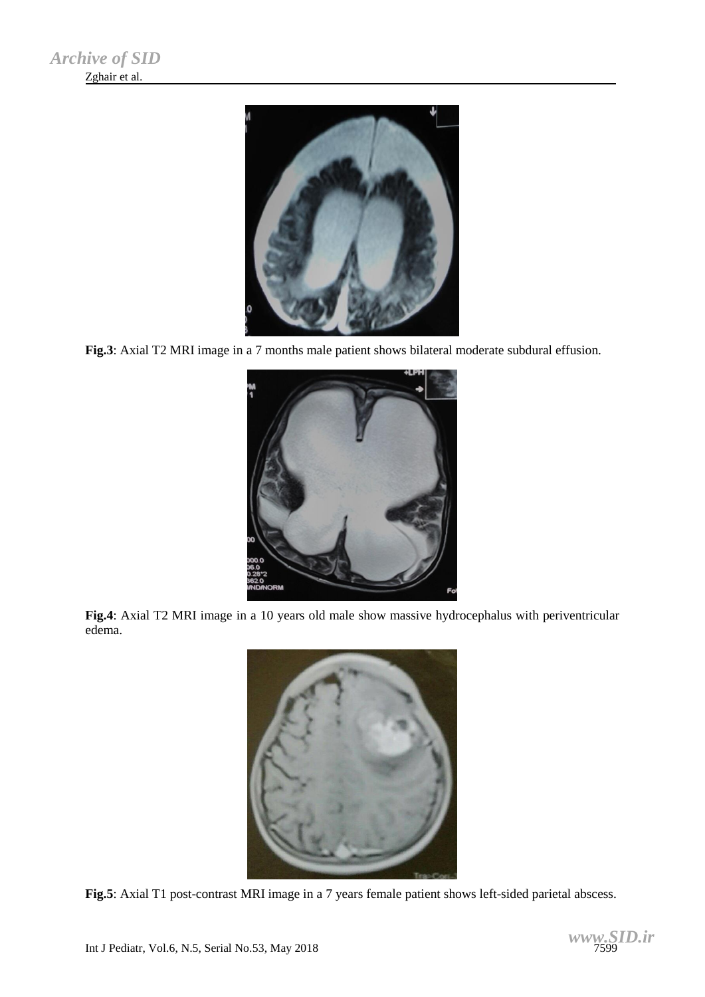

**Fig.3**: Axial T2 MRI image in a 7 months male patient shows bilateral moderate subdural effusion.



**Fig.4**: Axial T2 MRI image in a 10 years old male show massive hydrocephalus with periventricular edema.



**Fig.5**: Axial T1 post-contrast MRI image in a 7 years female patient shows left-sided parietal abscess.

$$
WWW, \underset{7599}{SID}.\textit{ir}
$$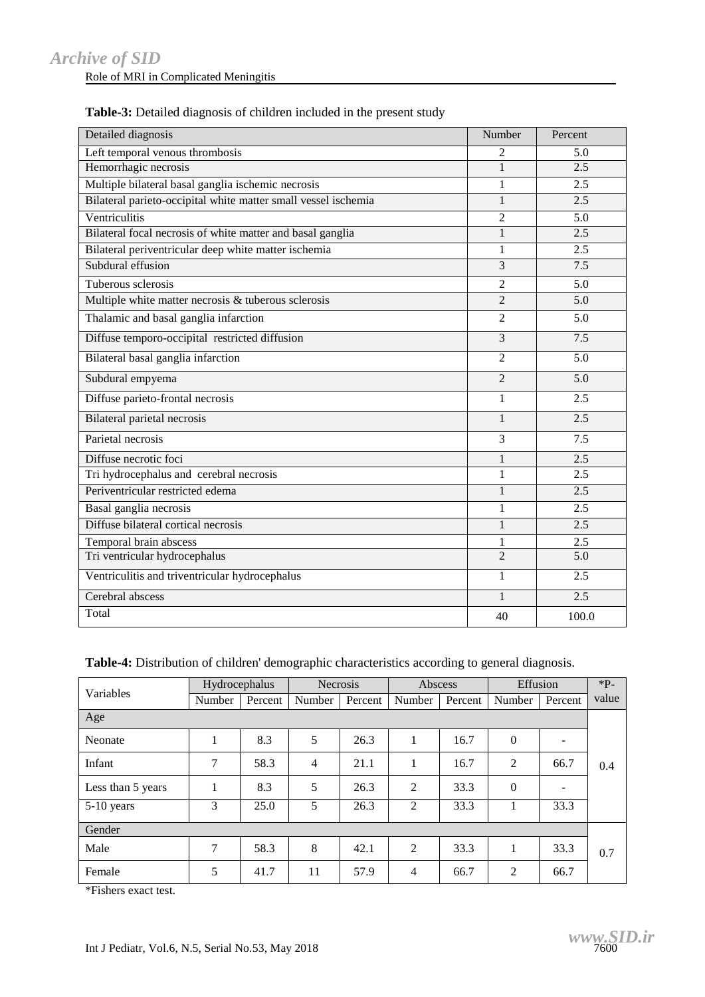Role of MRI in Complicated Meningitis

| Detailed diagnosis                                             | Number         | Percent          |
|----------------------------------------------------------------|----------------|------------------|
| Left temporal venous thrombosis                                | $\overline{2}$ | 5.0              |
| Hemorrhagic necrosis                                           | $\mathbf{1}$   | 2.5              |
| Multiple bilateral basal ganglia ischemic necrosis             | 1              | 2.5              |
| Bilateral parieto-occipital white matter small vessel ischemia | 1              | 2.5              |
| Ventriculitis                                                  | $\overline{2}$ | 5.0              |
| Bilateral focal necrosis of white matter and basal ganglia     | $\mathbf{1}$   | 2.5              |
| Bilateral periventricular deep white matter ischemia           | 1              | 2.5              |
| Subdural effusion                                              | 3              | 7.5              |
| Tuberous sclerosis                                             | $\overline{2}$ | 5.0              |
| Multiple white matter necrosis & tuberous sclerosis            | $\overline{2}$ | 5.0              |
| Thalamic and basal ganglia infarction                          | $\overline{2}$ | 5.0              |
| Diffuse temporo-occipital restricted diffusion                 | 3              | 7.5              |
| Bilateral basal ganglia infarction                             | $\overline{2}$ | 5.0              |
| Subdural empyema                                               | $\overline{2}$ | 5.0              |
| Diffuse parieto-frontal necrosis                               | $\mathbf{1}$   | 2.5              |
| Bilateral parietal necrosis                                    | $\mathbf{1}$   | 2.5              |
| Parietal necrosis                                              | 3              | 7.5              |
| Diffuse necrotic foci                                          | $\mathbf{1}$   | 2.5              |
| Tri hydrocephalus and cerebral necrosis                        | 1              | 2.5              |
| Periventricular restricted edema                               | $\mathbf{1}$   | 2.5              |
| Basal ganglia necrosis                                         | 1              | 2.5              |
| Diffuse bilateral cortical necrosis                            | 1              | $\overline{2.5}$ |
| Temporal brain abscess                                         | 1              | 2.5              |
| Tri ventricular hydrocephalus                                  | $\mathfrak{D}$ | 5.0              |
| Ventriculitis and triventricular hydrocephalus                 | 1              | 2.5              |
| Cerebral abscess                                               | $\mathbf{1}$   | 2.5              |
| Total                                                          | 40             | 100.0            |

| Table-3: Detailed diagnosis of children included in the present study |  |
|-----------------------------------------------------------------------|--|
|-----------------------------------------------------------------------|--|

**Table-4:** Distribution of children' demographic characteristics according to general diagnosis.

| Variables         | Hydrocephalus  |         | <b>Necrosis</b> |         | Abscess        |         | Effusion       |         | $*P-$ |
|-------------------|----------------|---------|-----------------|---------|----------------|---------|----------------|---------|-------|
|                   | Number         | Percent | Number          | Percent | Number         | Percent | Number         | Percent | value |
| Age               |                |         |                 |         |                |         |                |         |       |
| Neonate           |                | 8.3     | 5               | 26.3    | 1              | 16.7    | $\theta$       |         |       |
| Infant            | 7              | 58.3    | 4               | 21.1    | 1              | 16.7    | 2              | 66.7    | 0.4   |
| Less than 5 years | 1              | 8.3     | 5               | 26.3    | 2              | 33.3    | $\theta$       |         |       |
| 5-10 years        | 3              | 25.0    | 5               | 26.3    | $\overline{2}$ | 33.3    | 1              | 33.3    |       |
| Gender            |                |         |                 |         |                |         |                |         |       |
| Male              | $\overline{7}$ | 58.3    | 8               | 42.1    | $\overline{2}$ | 33.3    | 1              | 33.3    | 0.7   |
| Female            | 5              | 41.7    | 11              | 57.9    | $\overline{4}$ | 66.7    | $\overline{2}$ | 66.7    |       |

\*Fishers exact test.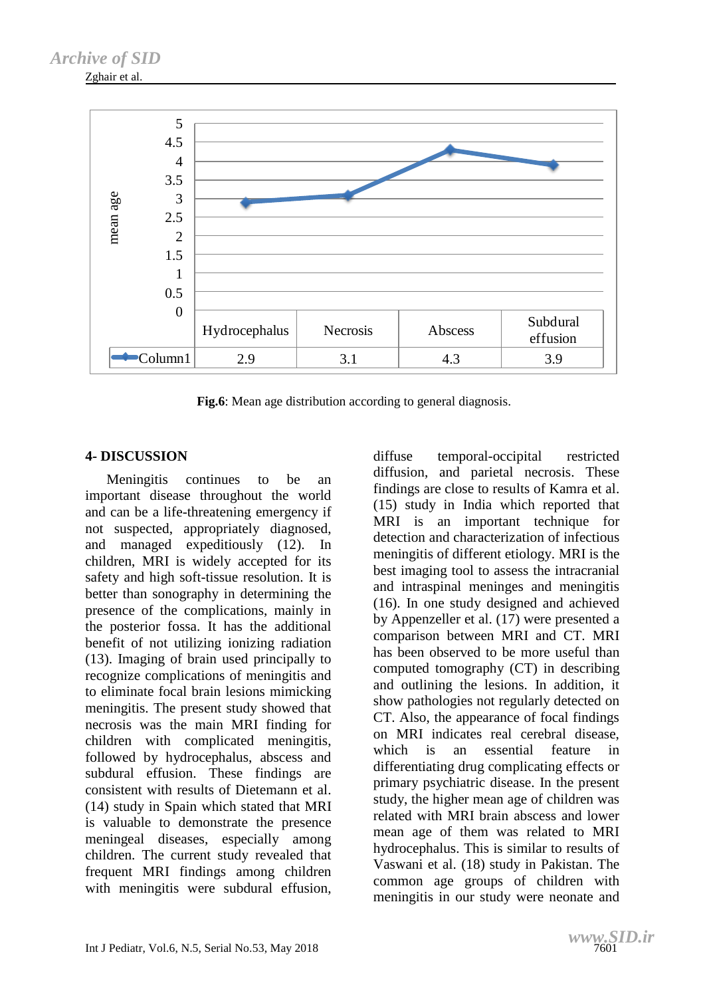Zghair et al.



Fig.6: Mean age distribution according to general diagnosis.

# **4- DISCUSSION**

 Meningitis continues to be an important disease throughout the world and can be a life-threatening emergency if not suspected, appropriately diagnosed, and managed expeditiously (12). In children, MRI is widely accepted for its safety and high soft-tissue resolution. It is better than sonography in determining the presence of the complications, mainly in the posterior fossa. It has the additional benefit of not utilizing ionizing radiation (13). Imaging of brain used principally to recognize complications of meningitis and to eliminate focal brain lesions mimicking meningitis. The present study showed that necrosis was the main MRI finding for children with complicated meningitis, followed by hydrocephalus, abscess and subdural effusion. These findings are consistent with results of Dietemann et al. (14) study in Spain which stated that MRI is valuable to demonstrate the presence meningeal diseases, especially among children. The current study revealed that frequent MRI findings among children with meningitis were subdural effusion. diffuse temporal-occipital restricted diffusion, and parietal necrosis. These findings are close to results of Kamra et al. (15) study in India which reported that MRI is an important technique for detection and characterization of infectious meningitis of different etiology. MRI is the best imaging tool to assess the intracranial and intraspinal meninges and meningitis (16). In one study designed and achieved by Appenzeller et al. (17) were presented a comparison between MRI and CT. MRI has been observed to be more useful than computed tomography (CT) in describing and outlining the lesions. In addition, it show pathologies not regularly detected on CT. Also, the appearance of focal findings on MRI indicates real cerebral disease, which is an essential feature in differentiating drug complicating effects or primary psychiatric disease. In the present study, the higher mean age of children was related with MRI brain abscess and lower mean age of them was related to MRI hydrocephalus. This is similar to results of Vaswani et al. (18) study in Pakistan. The common age groups of children with meningitis in our study were neonate and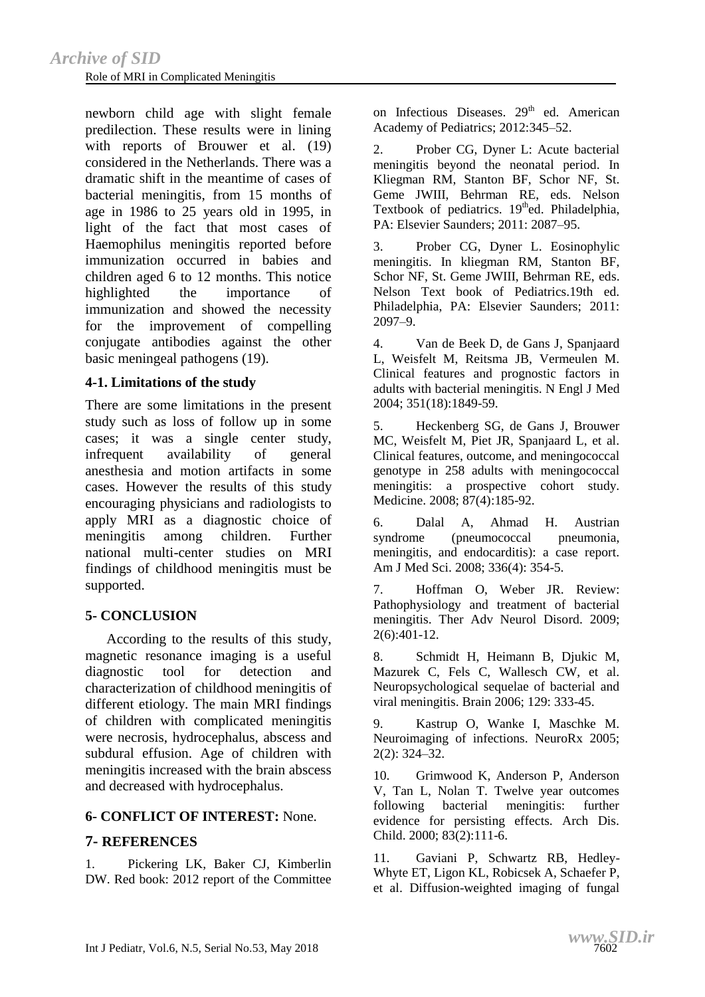newborn child age with slight female predilection. These results were in lining with reports of Brouwer et al. (19) considered in the Netherlands. There was a dramatic shift in the meantime of cases of bacterial meningitis, from 15 months of age in 1986 to 25 years old in 1995, in light of the fact that most cases of Haemophilus meningitis reported before immunization occurred in babies and children aged 6 to 12 months. This notice highlighted the importance of immunization and showed the necessity for the improvement of compelling conjugate antibodies against the other basic meningeal pathogens (19).

#### **4-1. Limitations of the study**

There are some limitations in the present study such as loss of follow up in some cases; it was a single center study, infrequent availability of general anesthesia and motion artifacts in some cases. However the results of this study encouraging physicians and radiologists to apply MRI as a diagnostic choice of meningitis among children. Further national multi-center studies on MRI findings of childhood meningitis must be supported.

## **5- CONCLUSION**

 According to the results of this study, magnetic resonance imaging is a useful diagnostic tool for detection and characterization of childhood meningitis of different etiology. The main MRI findings of children with complicated meningitis were necrosis, hydrocephalus, abscess and subdural effusion. Age of children with meningitis increased with the brain abscess and decreased with hydrocephalus.

## **6- CONFLICT OF INTEREST:** None.

## **7- REFERENCES**

1. Pickering LK, Baker CJ, Kimberlin DW. Red book: 2012 report of the Committee on Infectious Diseases.  $29<sup>th</sup>$  ed. American Academy of Pediatrics; 2012:345–52.

2. Prober CG, Dyner L: Acute bacterial meningitis beyond the neonatal period. In Kliegman RM, Stanton BF, Schor NF, St. Geme JWIII, Behrman RE, eds. Nelson Textbook of pediatrics.  $19<sup>th</sup>$ ed. Philadelphia, PA: Elsevier Saunders; 2011: 2087–95.

3. Prober CG, Dyner L. Eosinophylic meningitis. In kliegman RM, Stanton BF, Schor NF, St. Geme JWIII, Behrman RE, eds. Nelson Text book of Pediatrics.19th ed. Philadelphia, PA: Elsevier Saunders; 2011: 2097–9.

4. Van de Beek D, de Gans J, Spanjaard L, Weisfelt M, Reitsma JB, Vermeulen M. Clinical features and prognostic factors in adults with bacterial meningitis. N Engl J Med 2004; 351(18):1849-59.

5. Heckenberg SG, de Gans J, Brouwer MC, Weisfelt M, Piet JR, Spanjaard L, et al. Clinical features, outcome, and meningococcal genotype in 258 adults with meningococcal meningitis: a prospective cohort study. Medicine. 2008; 87(4):185-92.

6. Dalal A, Ahmad H. Austrian syndrome (pneumococcal pneumonia, meningitis, and endocarditis): a case report. Am J Med Sci. 2008; 336(4): 354-5.

7. Hoffman O, Weber JR. Review: Pathophysiology and treatment of bacterial meningitis. Ther Adv Neurol Disord. 2009; 2(6):401-12.

8. Schmidt H, Heimann B, Djukic M, Mazurek C, Fels C, Wallesch CW, et al. Neuropsychological sequelae of bacterial and viral meningitis. Brain 2006; 129: 333-45.

9. Kastrup O, Wanke I, Maschke M. Neuroimaging of infections. NeuroRx 2005; 2(2): 324–32.

10. Grimwood K, Anderson P, Anderson V, Tan L, Nolan T. Twelve year outcomes following bacterial meningitis: further evidence for persisting effects. Arch Dis. Child. 2000; 83(2):111-6.

11. Gaviani P, Schwartz RB, Hedley-Whyte ET, [Ligon KL,](https://www.ncbi.nlm.nih.gov/pubmed/?term=Ligon%20KL%5BAuthor%5D&cauthor=true&cauthor_uid=15891169) [Robicsek A,](https://www.ncbi.nlm.nih.gov/pubmed/?term=Robicsek%20A%5BAuthor%5D&cauthor=true&cauthor_uid=15891169) [Schaefer P,](https://www.ncbi.nlm.nih.gov/pubmed/?term=Schaefer%20P%5BAuthor%5D&cauthor=true&cauthor_uid=15891169) et al. Diffusion-weighted imaging of fungal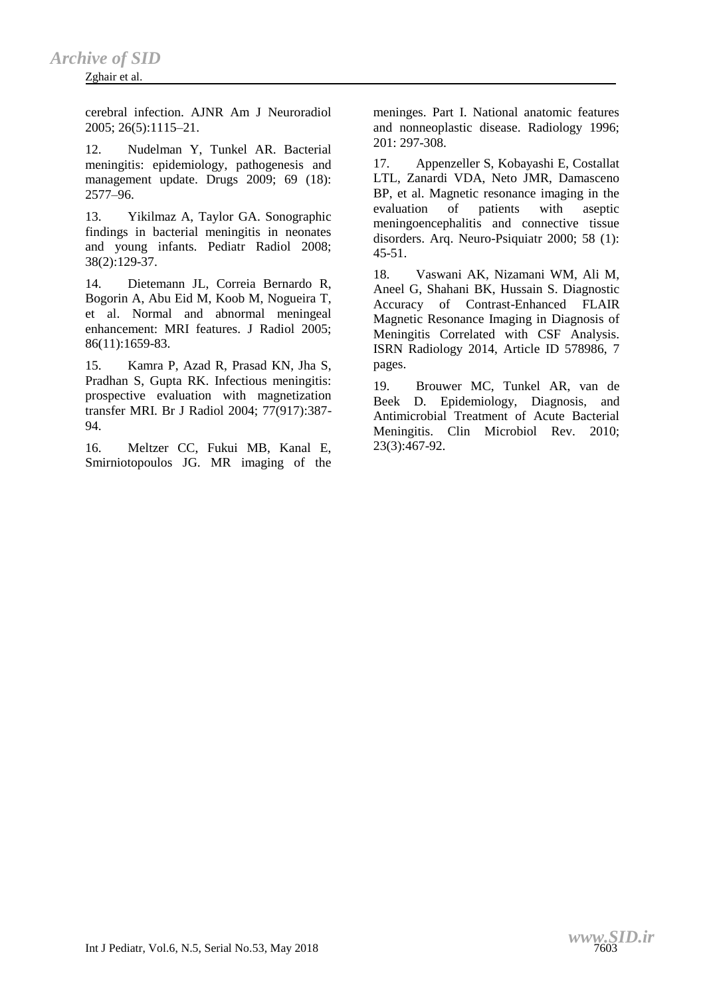#### Zghair et al.

cerebral infection. AJNR Am J Neuroradiol 2005; 26(5):1115–21.

12. Nudelman Y, Tunkel AR. Bacterial meningitis: epidemiology, pathogenesis and management update. Drugs 2009: 69 (18): 2577–96.

13. Yikilmaz A, Taylor GA. Sonographic findings in bacterial meningitis in neonates and young infants. Pediatr Radiol 2008; 38(2):129-37.

14. Dietemann JL, Correia Bernardo R, Bogorin A, Abu Eid M, Koob M, Nogueira T, et al. Normal and abnormal meningeal enhancement: MRI features. J Radiol 2005; 86(11):1659-83.

15. Kamra P, Azad R, Prasad KN, Jha S, Pradhan S, Gupta RK. Infectious meningitis: prospective evaluation with magnetization transfer MRI. Br J Radiol 2004; 77(917):387- 94.

16. Meltzer CC, Fukui MB, Kanal E, Smirniotopoulos JG. MR imaging of the meninges. Part I. National anatomic features and nonneoplastic disease. Radiology 1996; 201: 297-308.

17. Appenzeller S, Kobayashi E, Costallat LTL, Zanardi VDA, Neto JMR, Damasceno BP, et al. Magnetic resonance imaging in the evaluation of patients with aseptic meningoencephalitis and connective tissue disorders. Arq. Neuro-Psiquiatr 2000; 58 (1):  $45 - 51$ .

18. Vaswani AK, Nizamani WM, Ali M, Aneel G, Shahani BK, Hussain S. Diagnostic Accuracy of Contrast-Enhanced FLAIR Magnetic Resonance Imaging in Diagnosis of Meningitis Correlated with CSF Analysis. ISRN Radiology 2014, Article ID 578986, 7 pages.

19. Brouwer MC, Tunkel AR, van de Beek D. Epidemiology, Diagnosis, and Antimicrobial Treatment of Acute Bacterial Meningitis. Clin Microbiol Rev. 2010; 23(3):467-92.